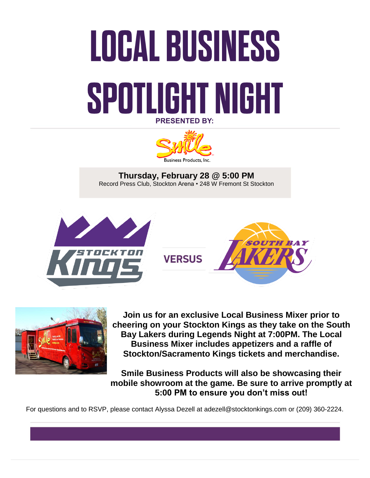## **LOCAL BUSINESS** SPOTILIGHT NIGHT **PRESENTED BY:**



**Thursday, February 28 @ 5:00 PM** Record Press Club, Stockton Arena • 248 W Fremont St Stockton



**VERSUS** 





**Join us for an exclusive Local Business Mixer prior to cheering on your Stockton Kings as they take on the South Bay Lakers during Legends Night at 7:00PM. The Local Business Mixer includes appetizers and a raffle of Stockton/Sacramento Kings tickets and merchandise.**

**Smile Business Products will also be showcasing their mobile showroom at the game. Be sure to arrive promptly at 5:00 PM to ensure you don't miss out!**

For questions and to RSVP, please contact Alyssa Dezell at adezell@stocktonkings.com or (209) 360-2224.